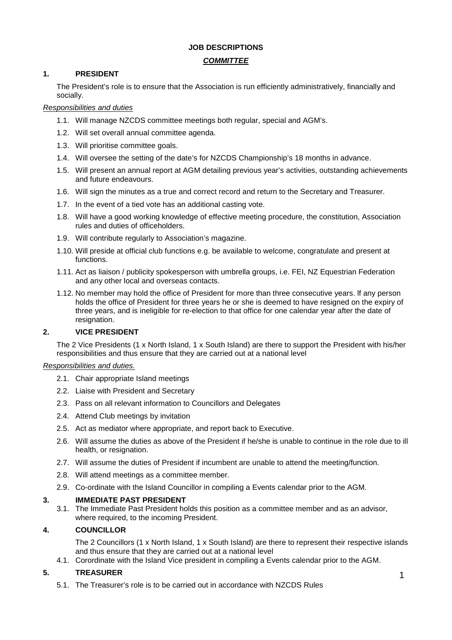# **JOB DESCRIPTIONS**

# *COMMITTEE*

# **1. PRESIDENT**

The President's role is to ensure that the Association is run efficiently administratively, financially and socially.

# *Responsibilities and duties*

- 1.1. Will manage NZCDS committee meetings both regular, special and AGM's.
- 1.2. Will set overall annual committee agenda.
- 1.3. Will prioritise committee goals.
- 1.4. Will oversee the setting of the date's for NZCDS Championship's 18 months in advance.
- 1.5. Will present an annual report at AGM detailing previous year's activities, outstanding achievements and future endeavours.
- 1.6. Will sign the minutes as a true and correct record and return to the Secretary and Treasurer.
- 1.7. In the event of a tied vote has an additional casting vote.
- 1.8. Will have a good working knowledge of effective meeting procedure, the constitution, Association rules and duties of officeholders.
- 1.9. Will contribute regularly to Association's magazine.
- 1.10. Will preside at official club functions e.g. be available to welcome, congratulate and present at functions.
- 1.11. Act as liaison / publicity spokesperson with umbrella groups, i.e. FEI, NZ Equestrian Federation and any other local and overseas contacts.
- 1.12. No member may hold the office of President for more than three consecutive years. lf any person holds the office of President for three years he or she is deemed to have resigned on the expiry of three years, and is ineligible for re-election to that office for one calendar year after the date of resignation.

# **2. VICE PRESIDENT**

The 2 Vice Presidents (1 x North Island, 1 x South Island) are there to support the President with his/her responsibilities and thus ensure that they are carried out at a national level

# *Responsibilities and duties.*

- 2.1. Chair appropriate Island meetings
- 2.2. Liaise with President and Secretary
- 2.3. Pass on all relevant information to Councillors and Delegates
- 2.4. Attend Club meetings by invitation
- 2.5. Act as mediator where appropriate, and report back to Executive.
- 2.6. Will assume the duties as above of the President if he/she is unable to continue in the role due to ill health, or resignation.
- 2.7. Will assume the duties of President if incumbent are unable to attend the meeting/function.
- 2.8. Will attend meetings as a committee member.
- 2.9. Co-ordinate with the Island Councillor in compiling a Events calendar prior to the AGM.

# **3. IMMEDIATE PAST PRESIDENT**

3.1. The Immediate Past President holds this position as a committee member and as an advisor, where required, to the incoming President.

# **4. COUNCILLOR**

The 2 Councillors (1 x North Island, 1 x South Island) are there to represent their respective islands and thus ensure that they are carried out at a national level

4.1. Corordinate with the Island Vice president in compiling a Events calendar prior to the AGM.

# **5. TREASURER**

5.1. The Treasurer's role is to be carried out in accordance with NZCDS Rules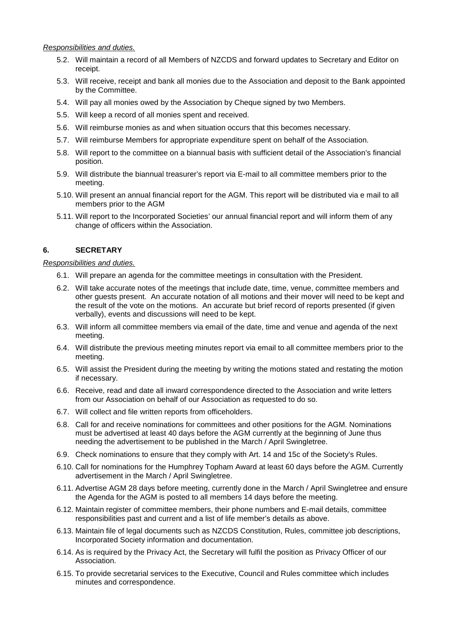*Responsibilities and duties.*

- 5.2. Will maintain a record of all Members of NZCDS and forward updates to Secretary and Editor on receipt.
- 5.3. Will receive, receipt and bank all monies due to the Association and deposit to the Bank appointed by the Committee.
- 5.4. Will pay all monies owed by the Association by Cheque signed by two Members.
- 5.5. Will keep a record of all monies spent and received.
- 5.6. Will reimburse monies as and when situation occurs that this becomes necessary.
- 5.7. Will reimburse Members for appropriate expenditure spent on behalf of the Association.
- 5.8. Will report to the committee on a biannual basis with sufficient detail of the Association's financial position.
- 5.9. Will distribute the biannual treasurer's report via E-mail to all committee members prior to the meeting.
- 5.10. Will present an annual financial report for the AGM. This report will be distributed via e mail to all members prior to the AGM
- 5.11. Will report to the Incorporated Societies' our annual financial report and will inform them of any change of officers within the Association.

# **6. SECRETARY**

#### *Responsibilities and duties.*

- 6.1. Will prepare an agenda for the committee meetings in consultation with the President.
- 6.2. Will take accurate notes of the meetings that include date, time, venue, committee members and other guests present. An accurate notation of all motions and their mover will need to be kept and the result of the vote on the motions. An accurate but brief record of reports presented (if given verbally), events and discussions will need to be kept.
- 6.3. Will inform all committee members via email of the date, time and venue and agenda of the next meeting.
- 6.4. Will distribute the previous meeting minutes report via email to all committee members prior to the meeting.
- 6.5. Will assist the President during the meeting by writing the motions stated and restating the motion if necessary.
- 6.6. Receive, read and date all inward correspondence directed to the Association and write letters from our Association on behalf of our Association as requested to do so.
- 6.7. Will collect and file written reports from officeholders.
- 6.8. Call for and receive nominations for committees and other positions for the AGM. Nominations must be advertised at least 40 days before the AGM currently at the beginning of June thus needing the advertisement to be published in the March / April Swingletree.
- 6.9. Check nominations to ensure that they comply with Art. 14 and 15c of the Society's Rules.
- 6.10. Call for nominations for the Humphrey Topham Award at least 60 days before the AGM. Currently advertisement in the March / April Swingletree.
- 6.11. Advertise AGM 28 days before meeting, currently done in the March / April Swingletree and ensure the Agenda for the AGM is posted to all members 14 days before the meeting.
- 6.12. Maintain register of committee members, their phone numbers and E-mail details, committee responsibilities past and current and a list of life member's details as above.
- 6.13. Maintain file of legal documents such as NZCDS Constitution, Rules, committee job descriptions, Incorporated Society information and documentation.
- 6.14. As is required by the Privacy Act, the Secretary will fulfil the position as Privacy Officer of our Association.
- 6.15. To provide secretarial services to the Executive, Council and Rules committee which includes minutes and correspondence.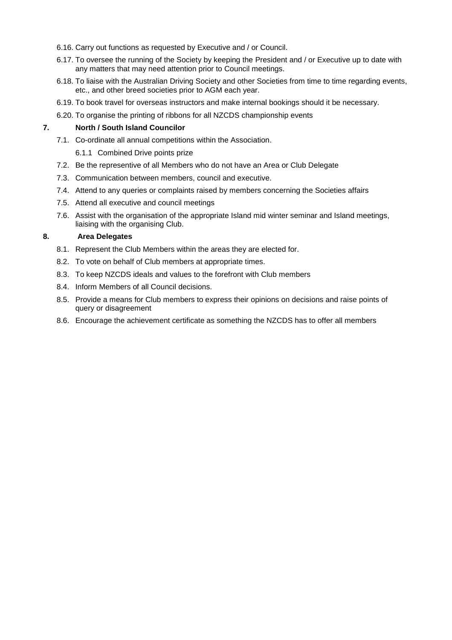- 6.16. Carry out functions as requested by Executive and / or Council.
- 6.17. To oversee the running of the Society by keeping the President and / or Executive up to date with any matters that may need attention prior to Council meetings.
- 6.18. To liaise with the Australian Driving Society and other Societies from time to time regarding events, etc., and other breed societies prior to AGM each year.
- 6.19. To book travel for overseas instructors and make internal bookings should it be necessary.
- 6.20. To organise the printing of ribbons for all NZCDS championship events

#### **7. North / South Island Councilor**

- 7.1. Co-ordinate all annual competitions within the Association.
	- 6.1.1 Combined Drive points prize
- 7.2. Be the representive of all Members who do not have an Area or Club Delegate
- 7.3. Communication between members, council and executive.
- 7.4. Attend to any queries or complaints raised by members concerning the Societies affairs
- 7.5. Attend all executive and council meetings
- 7.6. Assist with the organisation of the appropriate Island mid winter seminar and Island meetings, liaising with the organising Club.

#### **8. Area Delegates**

- 8.1. Represent the Club Members within the areas they are elected for.
- 8.2. To vote on behalf of Club members at appropriate times.
- 8.3. To keep NZCDS ideals and values to the forefront with Club members
- 8.4. Inform Members of all Council decisions.
- 8.5. Provide a means for Club members to express their opinions on decisions and raise points of query or disagreement
- 8.6. Encourage the achievement certificate as something the NZCDS has to offer all members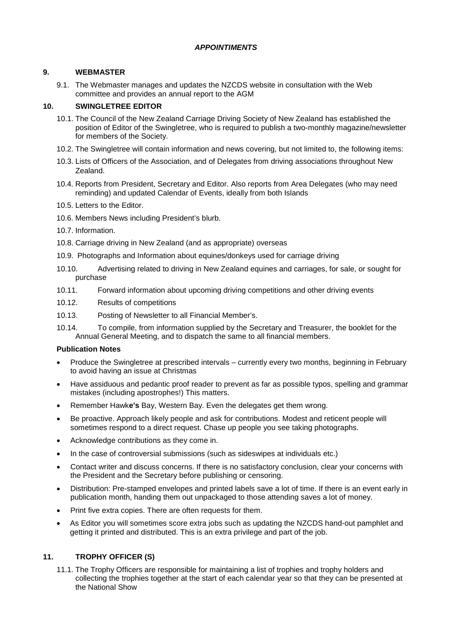# *APPOINTIMENTS*

# **9. WEBMASTER**

9.1. The Webmaster manages and updates the NZCDS website in consultation with the Web committee and provides an annual report to the AGM

# **10. SWINGLETREE EDITOR**

- 10.1. The Council of the New Zealand Carriage Driving Society of New Zealand has established the position of Editor of the Swingletree, who is required to publish a two-monthly magazine/newsletter for members of the Society.
- 10.2. The Swingletree will contain information and news covering, but not limited to, the following items:
- 10.3. Lists of Officers of the Association, and of Delegates from driving associations throughout New Zealand.
- 10.4. Reports from President, Secretary and Editor. Also reports from Area Delegates (who may need reminding) and updated Calendar of Events, ideally from both Islands
- 10.5. Letters to the Editor.
- 10.6. Members News including President's blurb.
- 10.7. Information.
- 10.8. Carriage driving in New Zealand (and as appropriate) overseas
- 10.9. Photographs and Information about equines/donkeys used for carriage driving
- 10.10. Advertising related to driving in New Zealand equines and carriages, for sale, or sought for purchase
- 10.11. Forward information about upcoming driving competitions and other driving events
- 10.12. Results of competitions
- 10.13. Posting of Newsletter to all Financial Member's.
- 10.14. To compile, from information supplied by the Secretary and Treasurer, the booklet for the Annual General Meeting, and to dispatch the same to all financial members.

# **Publication Notes**

- Produce the Swingletree at prescribed intervals currently every two months, beginning in February to avoid having an issue at Christmas
- Have assiduous and pedantic proof reader to prevent as far as possible typos, spelling and grammar mistakes (including apostrophes!) This matters.
- Remember Hawk**e's** Bay, Western Bay. Even the delegates get them wrong.
- Be proactive. Approach likely people and ask for contributions. Modest and reticent people will sometimes respond to a direct request. Chase up people you see taking photographs.
- Acknowledge contributions as they come in.
- In the case of controversial submissions (such as sideswipes at individuals etc.)
- Contact writer and discuss concerns. If there is no satisfactory conclusion, clear your concerns with the President and the Secretary before publishing or censoring.
- Distribution: Pre-stamped envelopes and printed labels save a lot of time. If there is an event early in publication month, handing them out unpackaged to those attending saves a lot of money.
- Print five extra copies. There are often requests for them.
- As Editor you will sometimes score extra jobs such as updating the NZCDS hand-out pamphlet and getting it printed and distributed. This is an extra privilege and part of the job.

# **11. TROPHY OFFICER (S)**

11.1. The Trophy Officers are responsible for maintaining a list of trophies and trophy holders and collecting the trophies together at the start of each calendar year so that they can be presented at the National Show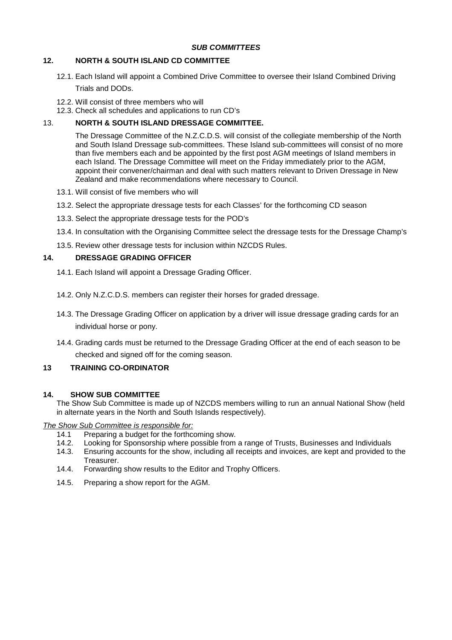# **12. NORTH & SOUTH ISLAND CD COMMITTEE**

- 12.1. Each Island will appoint a Combined Drive Committee to oversee their Island Combined Driving Trials and DODs.
- 12.2. Will consist of three members who will
- 12.3. Check all schedules and applications to run CD's

# 13. **NORTH & SOUTH ISLAND DRESSAGE COMMITTEE.**

The Dressage Committee of the N.Z.C.D.S. will consist of the collegiate membership of the North and South Island Dressage sub-committees. These Island sub-committees will consist of no more than five members each and be appointed by the first post AGM meetings of Island members in each Island. The Dressage Committee will meet on the Friday immediately prior to the AGM, appoint their convener/chairman and deal with such matters relevant to Driven Dressage in New Zealand and make recommendations where necessary to Council.

- 13.1. Will consist of five members who will
- 13.2. Select the appropriate dressage tests for each Classes' for the forthcoming CD season
- 13.3. Select the appropriate dressage tests for the POD's
- 13.4. In consultation with the Organising Committee select the dressage tests for the Dressage Champ's
- 13.5. Review other dressage tests for inclusion within NZCDS Rules.

# **14. DRESSAGE GRADING OFFICER**

- 14.1. Each Island will appoint a Dressage Grading Officer.
- 14.2. Only N.Z.C.D.S. members can register their horses for graded dressage.
- 14.3. The Dressage Grading Officer on application by a driver will issue dressage grading cards for an individual horse or pony.
- 14.4. Grading cards must be returned to the Dressage Grading Officer at the end of each season to be checked and signed off for the coming season.

# **13 TRAINING CO-ORDINATOR**

#### **14. SHOW SUB COMMITTEE**

The Show Sub Committee is made up of NZCDS members willing to run an annual National Show (held in alternate years in the North and South Islands respectively).

#### *The Show Sub Committee is responsible for:*

- 14.1 Preparing a budget for the forthcoming show.
- 14.2. Looking for Sponsorship where possible from a range of Trusts, Businesses and Individuals<br>14.3. Ensuring accounts for the show, including all receipts and invoices, are kept and provided to
- Ensuring accounts for the show, including all receipts and invoices, are kept and provided to the Treasurer.
- 14.4. Forwarding show results to the Editor and Trophy Officers.
- 14.5. Preparing a show report for the AGM.